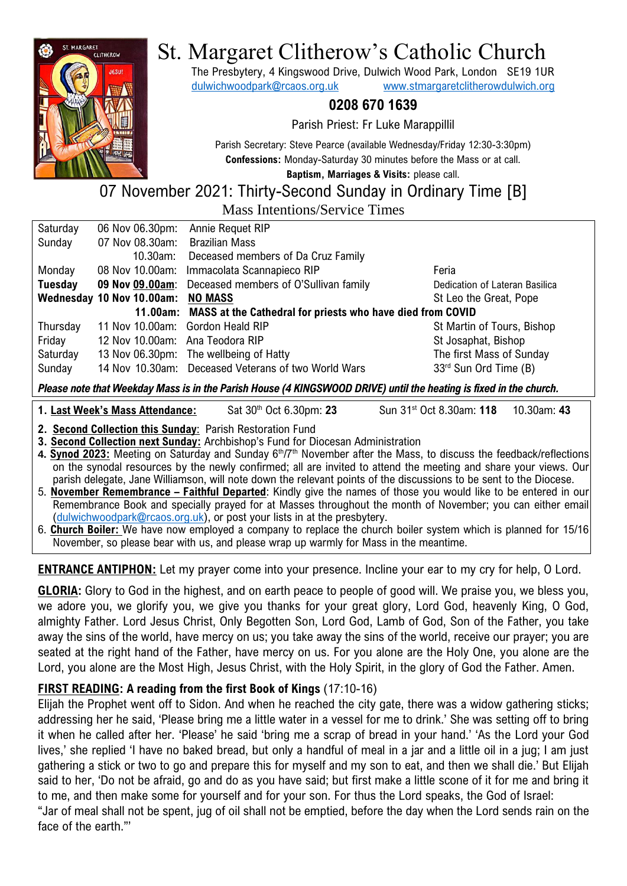

# St. Margaret Clitherow's Catholic Church

The Presbytery, 4 Kingswood Drive, Dulwich Wood Park, London SE19 1UR [dulwichwoodpark@rcaos.org.uk](mailto:dulwichwoodpark@rcaos.org.uk) [www.stmargaretclitherowdulwich.org](http://www.stmargaretclitherowdulwich.org/)

# **0208 670 1639**

Parish Priest: Fr Luke Marappillil

Parish Secretary: Steve Pearce (available Wednesday/Friday 12:30-3:30pm) **Confessions:** Monday-Saturday 30 minutes before the Mass or at call.

**Baptism, Marriages & Visits:** please call.

# 07 November 2021: Thirty-Second Sunday in Ordinary Time [B] Mass Intentions/Service Times

| Saturday | 06 Nov 06.30pm:                   | Annie Requet RIP                                                    |                                |  |
|----------|-----------------------------------|---------------------------------------------------------------------|--------------------------------|--|
| Sunday   | 07 Nov 08.30am: Brazilian Mass    |                                                                     |                                |  |
|          |                                   | 10.30am: Deceased members of Da Cruz Family                         |                                |  |
| Monday   |                                   | 08 Nov 10.00am: Immacolata Scannapieco RIP                          | Feria                          |  |
| Tuesday  |                                   | 09 Nov 09.00am: Deceased members of O'Sullivan family               | Dedication of Lateran Basilica |  |
|          | Wednesday 10 Nov 10.00am: NO MASS |                                                                     | St Leo the Great, Pope         |  |
|          |                                   | 11.00am: MASS at the Cathedral for priests who have died from COVID |                                |  |
| Thursday |                                   | 11 Nov 10.00am: Gordon Heald RIP                                    | St Martin of Tours, Bishop     |  |
| Friday   | 12 Nov 10.00am: Ana Teodora RIP   |                                                                     | St Josaphat, Bishop            |  |
| Saturday |                                   | 13 Nov 06.30pm: The wellbeing of Hatty                              | The first Mass of Sunday       |  |
| Sunday   |                                   | 14 Nov 10.30am: Deceased Veterans of two World Wars                 | 33rd Sun Ord Time (B)          |  |

*Please note that Weekday Mass is in the Parish House (4 KINGSWOOD DRIVE) until the heating is fixed in the church.*

**1. Last Week's Mass Attendance:** Sat 30th Oct 6.30pm: **23** Sun 31st Oct 8.30am: **118** 10.30am: **43**

**2. Second Collection this Sunday**: Parish Restoration Fund

**3. Second Collection next Sunday:** Archbishop's Fund for Diocesan Administration

- 4. **Synod 2023:** Meeting on Saturday and Sunday 6<sup>th</sup>/7<sup>th</sup> November after the Mass, to discuss the feedback/reflections on the synodal resources by the newly confirmed; all are invited to attend the meeting and share your views. Our parish delegate, Jane Williamson, will note down the relevant points of the discussions to be sent to the Diocese.
- 5. **November Remembrance – Faithful Departed**: Kindly give the names of those you would like to be entered in our Remembrance Book and specially prayed for at Masses throughout the month of November; you can either email [\(dulwichwoodpark@rcaos.org.uk\)](mailto:dulwichwoodpark@rcaos.org.uk), or post your lists in at the presbytery.
- 6. **Church Boiler:** We have now employed a company to replace the church boiler system which is planned for 15/16 November, so please bear with us, and please wrap up warmly for Mass in the meantime.

**ENTRANCE ANTIPHON:** Let my prayer come into your presence. Incline your ear to my cry for help, O Lord.

**GLORIA:** Glory to God in the highest, and on earth peace to people of good will. We praise you, we bless you, we adore you, we glorify you, we give you thanks for your great glory, Lord God, heavenly King, O God, almighty Father. Lord Jesus Christ, Only Begotten Son, Lord God, Lamb of God, Son of the Father, you take away the sins of the world, have mercy on us; you take away the sins of the world, receive our prayer; you are seated at the right hand of the Father, have mercy on us. For you alone are the Holy One, you alone are the Lord, you alone are the Most High, Jesus Christ, with the Holy Spirit, in the glory of God the Father. Amen.

# **FIRST READING: A reading from the first Book of Kings** (17:10-16)

Elijah the Prophet went off to Sidon. And when he reached the city gate, there was a widow gathering sticks; addressing her he said, 'Please bring me a little water in a vessel for me to drink.' She was setting off to bring it when he called after her. 'Please' he said 'bring me a scrap of bread in your hand.' 'As the Lord your God lives,' she replied 'I have no baked bread, but only a handful of meal in a jar and a little oil in a jug; I am just gathering a stick or two to go and prepare this for myself and my son to eat, and then we shall die.' But Elijah said to her, 'Do not be afraid, go and do as you have said; but first make a little scone of it for me and bring it to me, and then make some for yourself and for your son. For thus the Lord speaks, the God of Israel: "Jar of meal shall not be spent, jug of oil shall not be emptied, before the day when the Lord sends rain on the face of the earth."'